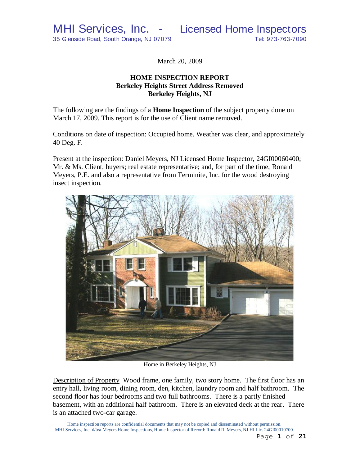March 20, 2009

# **HOME INSPECTION REPORT Berkeley Heights Street Address Removed Berkeley Heights, NJ**

The following are the findings of a **Home Inspection** of the subject property done on March 17, 2009. This report is for the use of Client name removed.

Conditions on date of inspection: Occupied home. Weather was clear, and approximately 40 Deg. F.

Present at the inspection: Daniel Meyers, NJ Licensed Home Inspector, 24GI00060400; Mr. & Ms. Client, buyers; real estate representative; and, for part of the time, Ronald Meyers, P.E. and also a representative from Terminite, Inc. for the wood destroying insect inspection.



Home in Berkeley Heights, NJ

Description of Property Wood frame, one family, two story home. The first floor has an entry hall, living room, dining room, den, kitchen, laundry room and half bathroom. The second floor has four bedrooms and two full bathrooms. There is a partly finished basement, with an additional half bathroom. There is an elevated deck at the rear. There is an attached two-car garage.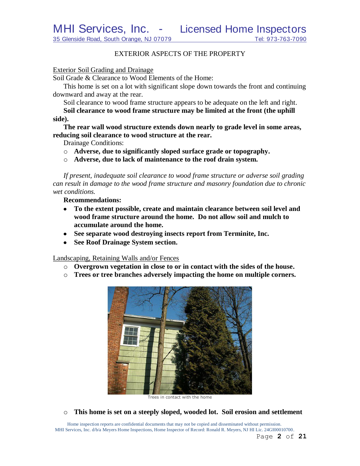# EXTERIOR ASPECTS OF THE PROPERTY

#### Exterior Soil Grading and Drainage

Soil Grade & Clearance to Wood Elements of the Home:

This home is set on a lot with significant slope down towards the front and continuing downward and away at the rear.

Soil clearance to wood frame structure appears to be adequate on the left and right.

**Soil clearance to wood frame structure may be limited at the front (the uphill side).**

**The rear wall wood structure extends down nearly to grade level in some areas, reducing soil clearance to wood structure at the rear.**

Drainage Conditions:

- o **Adverse, due to significantly sloped surface grade or topography.**
- o **Adverse, due to lack of maintenance to the roof drain system.**

*If present, inadequate soil clearance to wood frame structure or adverse soil grading can result in damage to the wood frame structure and masonry foundation due to chronic wet conditions.*

**Recommendations:**

- **To the extent possible, create and maintain clearance between soil level and wood frame structure around the home. Do not allow soil and mulch to accumulate around the home.**
- **See separate wood destroying insects report from Terminite, Inc.**
- **See Roof Drainage System section.**

Landscaping, Retaining Walls and/or Fences

- o **Overgrown vegetation in close to or in contact with the sides of the house.**
- o **Trees or tree branches adversely impacting the home on multiple corners.**



Trees in contact with the home

o **This home is set on a steeply sloped, wooded lot. Soil erosion and settlement**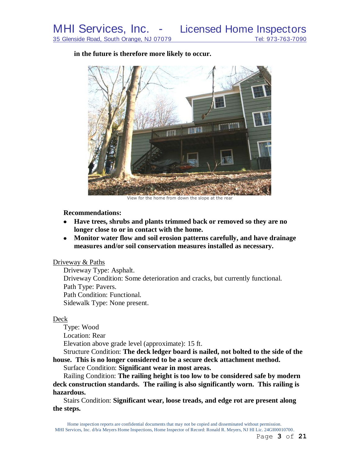**in the future is therefore more likely to occur.**



View for the home from down the slope at the rear

**Recommendations:**

- **Have trees, shrubs and plants trimmed back or removed so they are no longer close to or in contact with the home.**
- **Monitor water flow and soil erosion patterns carefully, and have drainage measures and/or soil conservation measures installed as necessary.**

#### Driveway & Paths

Driveway Type: Asphalt. Driveway Condition: Some deterioration and cracks, but currently functional. Path Type: Pavers. Path Condition: Functional. Sidewalk Type: None present.

#### Deck

Type: Wood Location: Rear Elevation above grade level (approximate): 15 ft.

Structure Condition: **The deck ledger board is nailed, not bolted to the side of the house. This is no longer considered to be a secure deck attachment method.**

Surface Condition: **Significant wear in most areas.**

Railing Condition: **The railing height is too low to be considered safe by modern deck construction standards. The railing is also significantly worn. This railing is hazardous.**

Stairs Condition: **Significant wear, loose treads, and edge rot are present along the steps.**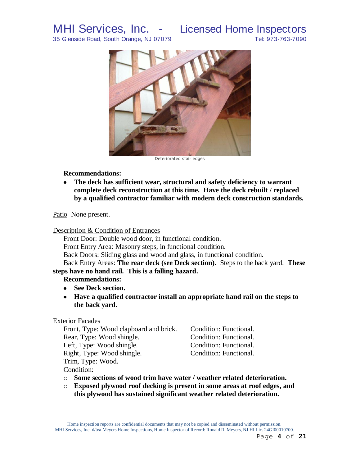

**Recommendations:**

**The deck has sufficient wear, structural and safety deficiency to warrant**   $\bullet$ **complete deck reconstruction at this time. Have the deck rebuilt / replaced by a qualified contractor familiar with modern deck construction standards.**

Patio None present.

# Description & Condition of Entrances

Front Door: Double wood door, in functional condition. Front Entry Area: Masonry steps, in functional condition.

Back Doors: Sliding glass and wood and glass, in functional condition.

Back Entry Areas: **The rear deck (see Deck section).** Steps to the back yard. **These steps have no hand rail. This is a falling hazard.**

# **Recommendations:**

- **See Deck section.**
- **Have a qualified contractor install an appropriate hand rail on the steps to the back yard.**

# Exterior Facades

| Front, Type: Wood clapboard and brick. | Condition: Functional. |
|----------------------------------------|------------------------|
| Rear, Type: Wood shingle.              | Condition: Functional. |
| Left, Type: Wood shingle.              | Condition: Functional. |
| Right, Type: Wood shingle.             | Condition: Functional. |
| Trim, Type: Wood.                      |                        |
| $\sim$ $\sim$ $\sim$                   |                        |

Condition:

- o **Some sections of wood trim have water / weather related deterioration.**
- o **Exposed plywood roof decking is present in some areas at roof edges, and this plywood has sustained significant weather related deterioration.**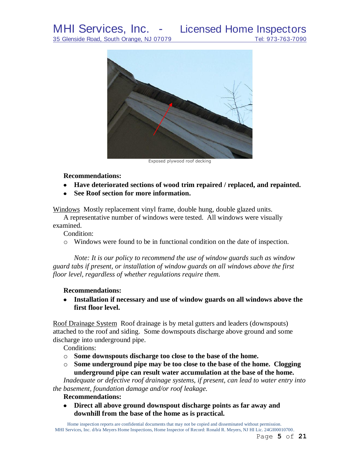# MHI Services, Inc. - Licensed Home Inspectors



Exposed plywood roof decking

#### **Recommendations:**

- **Have deteriorated sections of wood trim repaired / replaced, and repainted.**
- **See Roof section for more information.**

Windows Mostly replacement vinyl frame, double hung, double glazed units.

A representative number of windows were tested. All windows were visually examined.

Condition:

o Windows were found to be in functional condition on the date of inspection.

*Note: It is our policy to recommend the use of window guards such as window guard tabs if present, or installation of window guards on all windows above the first floor level, regardless of whether regulations require them.*

# **Recommendations:**

**Installation if necessary and use of window guards on all windows above the first floor level.**

Roof Drainage System Roof drainage is by metal gutters and leaders (downspouts) attached to the roof and siding. Some downspouts discharge above ground and some discharge into underground pipe.

Conditions:

- o **Some downspouts discharge too close to the base of the home.**
- o **Some underground pipe may be too close to the base of the home. Clogging underground pipe can result water accumulation at the base of the home.**

*Inadequate or defective roof drainage systems, if present, can lead to water entry into the basement, foundation damage and/or roof leakage.*

# **Recommendations:**

**Direct all above ground downspout discharge points as far away and downhill from the base of the home as is practical.**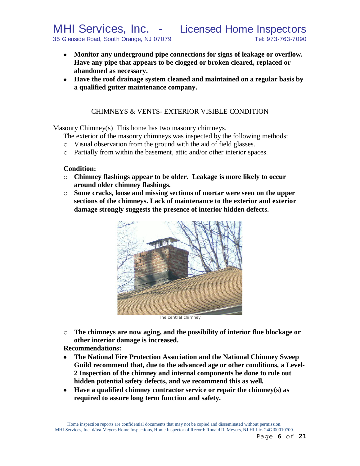- **Monitor any underground pipe connections for signs of leakage or overflow. Have any pipe that appears to be clogged or broken cleared, replaced or abandoned as necessary.**
- **Have the roof drainage system cleaned and maintained on a regular basis by a qualified gutter maintenance company.**

# CHIMNEYS & VENTS- EXTERIOR VISIBLE CONDITION

Masonry Chimney(s) This home has two masonry chimneys.

The exterior of the masonry chimneys was inspected by the following methods:

- o Visual observation from the ground with the aid of field glasses.
- o Partially from within the basement, attic and/or other interior spaces.

#### **Condition:**

- o **Chimney flashings appear to be older. Leakage is more likely to occur around older chimney flashings.**
- o **Some cracks, loose and missing sections of mortar were seen on the upper sections of the chimneys. Lack of maintenance to the exterior and exterior damage strongly suggests the presence of interior hidden defects.**



The central chimney

o **The chimneys are now aging, and the possibility of interior flue blockage or other interior damage is increased.**

**Recommendations:**

- $\bullet$ **The National Fire Protection Association and the National Chimney Sweep Guild recommend that, due to the advanced age or other conditions, a Level-2 Inspection of the chimney and internal components be done to rule out hidden potential safety defects, and we recommend this as well***.*
- **Have a qualified chimney contractor service or repair the chimney(s) as**   $\bullet$ **required to assure long term function and safety.**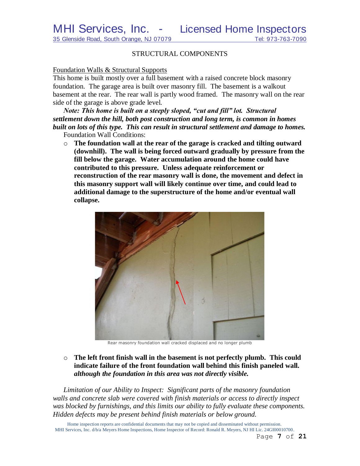#### STRUCTURAL COMPONENTS

#### Foundation Walls & Structural Supports

This home is built mostly over a full basement with a raised concrete block masonry foundation. The garage area is built over masonry fill. The basement is a walkout basement at the rear. The rear wall is partly wood framed. The masonry wall on the rear side of the garage is above grade level.

*Note: This home is built on a steeply sloped, "cut and fill" lot. Structural settlement down the hill, both post construction and long term, is common in homes built on lots of this type. This can result in structural settlement and damage to homes.* Foundation Wall Conditions:

o **The foundation wall at the rear of the garage is cracked and tilting outward (downhill). The wall is being forced outward gradually by pressure from the fill below the garage. Water accumulation around the home could have contributed to this pressure. Unless adequate reinforcement or reconstruction of the rear masonry wall is done, the movement and defect in this masonry support wall will likely continue over time, and could lead to additional damage to the superstructure of the home and/or eventual wall collapse.**



Rear masonry foundation wall cracked displaced and no longer plumb

o **The left front finish wall in the basement is not perfectly plumb. This could indicate failure of the front foundation wall behind this finish paneled wall.** *although the foundation in this area was not directly visible.*

*Limitation of our Ability to Inspect: Significant parts of the masonry foundation walls and concrete slab were covered with finish materials or access to directly inspect was blocked by furnishings, and this limits our ability to fully evaluate these components. Hidden defects may be present behind finish materials or below ground.*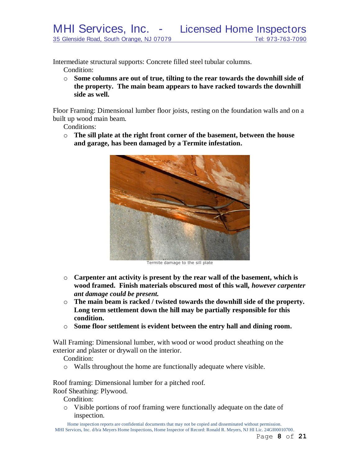Intermediate structural supports: Concrete filled steel tubular columns.

Condition:

o **Some columns are out of true, tilting to the rear towards the downhill side of the property. The main beam appears to have racked towards the downhill side as well.**

Floor Framing: Dimensional lumber floor joists, resting on the foundation walls and on a built up wood main beam.

Conditions:

o **The sill plate at the right front corner of the basement, between the house and garage, has been damaged by a Termite infestation.**



Termite damage to the sill plate

- o **Carpenter ant activity is present by the rear wall of the basement, which is wood framed. Finish materials obscured most of this wall,** *however carpenter ant damage could be present.*
- o **The main beam is racked / twisted towards the downhill side of the property. Long term settlement down the hill may be partially responsible for this condition.**
- o **Some floor settlement is evident between the entry hall and dining room.**

Wall Framing: Dimensional lumber, with wood or wood product sheathing on the exterior and plaster or drywall on the interior.

Condition:

o Walls throughout the home are functionally adequate where visible.

Roof framing: Dimensional lumber for a pitched roof. Roof Sheathing: Plywood.

Condition:

o Visible portions of roof framing were functionally adequate on the date of inspection.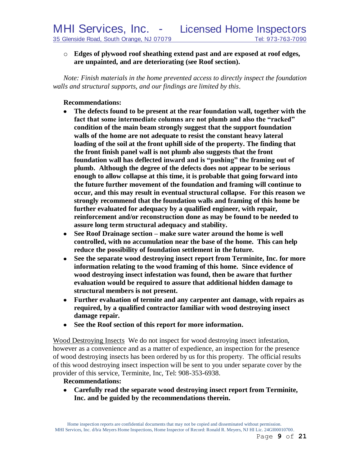# o **Edges of plywood roof sheathing extend past and are exposed at roof edges, are unpainted, and are deteriorating (see Roof section).**

*Note: Finish materials in the home prevented access to directly inspect the foundation walls and structural supports, and our findings are limited by this*.

# **Recommendations:**

- **The defects found to be present at the rear foundation wall, together with the**   $\bullet$ **fact that some intermediate columns are not plumb and also the "racked" condition of the main beam strongly suggest that the support foundation walls of the home are not adequate to resist the constant heavy lateral loading of the soil at the front uphill side of the property. The finding that the front finish panel wall is not plumb also suggests that the front foundation wall has deflected inward and is "pushing" the framing out of plumb. Although the degree of the defects does not appear to be serious enough to allow collapse at this time, it is probable that going forward into the future further movement of the foundation and framing will continue to occur, and this may result in eventual structural collapse. For this reason we strongly recommend that the foundation walls and framing of this home be further evaluated for adequacy by a qualified engineer, with repair, reinforcement and/or reconstruction done as may be found to be needed to assure long term structural adequacy and stability.**
- **See Roof Drainage section – make sure water around the home is well**   $\bullet$ **controlled, with no accumulation near the base of the home. This can help reduce the possibility of foundation settlement in the future.**
- **See the separate wood destroying insect report from Terminite, Inc. for more information relating to the wood framing of this home. Since evidence of wood destroying insect infestation was found, then be aware that further evaluation would be required to assure that additional hidden damage to structural members is not present.**
- **Further evaluation of termite and any carpenter ant damage, with repairs as required, by a qualified contractor familiar with wood destroying insect damage repair.**
- $\bullet$ **See the Roof section of this report for more information.**

Wood Destroying Insects We do not inspect for wood destroying insect infestation, however as a convenience and as a matter of expedience, an inspection for the presence of wood destroying insects has been ordered by us for this property. The official results of this wood destroying insect inspection will be sent to you under separate cover by the provider of this service, Terminite, Inc, Tel: 908-353-6938.

# **Recommendations:**

**Carefully read the separate wood destroying insect report from Terminite,**   $\bullet$ **Inc. and be guided by the recommendations therein.**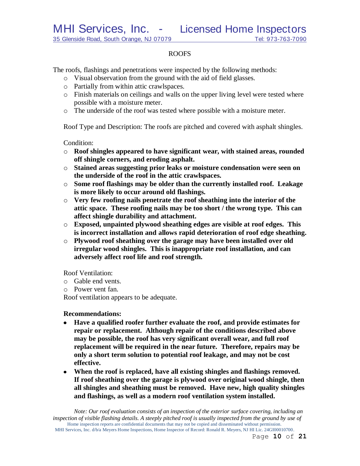# ROOFS

The roofs, flashings and penetrations were inspected by the following methods:

- o Visual observation from the ground with the aid of field glasses.
- o Partially from within attic crawlspaces.
- o Finish materials on ceilings and walls on the upper living level were tested where possible with a moisture meter.
- o The underside of the roof was tested where possible with a moisture meter.

Roof Type and Description: The roofs are pitched and covered with asphalt shingles.

Condition:

- o **Roof shingles appeared to have significant wear, with stained areas, rounded off shingle corners, and eroding asphalt.**
- o **Stained areas suggesting prior leaks or moisture condensation were seen on the underside of the roof in the attic crawlspaces.**
- o **Some roof flashings may be older than the currently installed roof. Leakage is more likely to occur around old flashings.**
- o **Very few roofing nails penetrate the roof sheathing into the interior of the attic space. These roofing nails may be too short / the wrong type. This can affect shingle durability and attachment.**
- o **Exposed, unpainted plywood sheathing edges are visible at roof edges. This is incorrect installation and allows rapid deterioration of roof edge sheathing.**
- o **Plywood roof sheathing over the garage may have been installed over old irregular wood shingles. This is inappropriate roof installation, and can adversely affect roof life and roof strength.**

Roof Ventilation:

- o Gable end vents.
- o Power vent fan.

Roof ventilation appears to be adequate.

#### **Recommendations:**

- **Have a qualified roofer further evaluate the roof, and provide estimates for repair or replacement. Although repair of the conditions described above may be possible, the roof has very significant overall wear, and full roof replacement will be required in the near future. Therefore, repairs may be only a short term solution to potential roof leakage, and may not be cost effective.**
- **When the roof is replaced, have all existing shingles and flashings removed. If roof sheathing over the garage is plywood over original wood shingle, then all shingles and sheathing must be removed. Have new, high quality shingles and flashings, as well as a modern roof ventilation system installed.**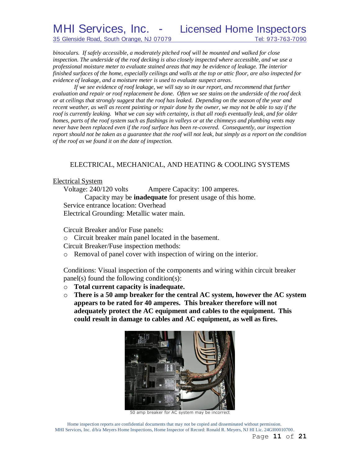*binoculars. If safely accessible, a moderately pitched roof will be mounted and walked for close inspection. The underside of the roof decking is also closely inspected where accessible, and we use a professional moisture meter to evaluate stained areas that may be evidence of leakage. The interior finished surfaces of the home, especially ceilings and walls at the top or attic floor, are also inspected for evidence of leakage, and a moisture meter is used to evaluate suspect areas.*

*If we see evidence of roof leakage, we will say so in our report, and recommend that further evaluation and repair or roof replacement be done. Often we see stains on the underside of the roof deck or at ceilings that strongly suggest that the roof has leaked. Depending on the season of the year and recent weather, as well as recent painting or repair done by the owner, we may not be able to say if the roof is currently leaking. What we can say with certainty, is that all roofs eventually leak, and for older homes, parts of the roof system such as flashings in valleys or at the chimneys and plumbing vents may never have been replaced even if the roof surface has been re-covered. Consequently, our inspection report should not be taken as a guarantee that the roof will not leak, but simply as a report on the condition of the roof as we found it on the date of inspection.*

# ELECTRICAL, MECHANICAL, AND HEATING & COOLING SYSTEMS

#### Electrical System

Voltage: 240/120 volts Ampere Capacity: 100 amperes. Capacity may be **inadequate** for present usage of this home. Service entrance location: Overhead Electrical Grounding: Metallic water main.

Circuit Breaker and/or Fuse panels:

o Circuit breaker main panel located in the basement.

Circuit Breaker/Fuse inspection methods:

o Removal of panel cover with inspection of wiring on the interior.

Conditions: Visual inspection of the components and wiring within circuit breaker panel(s) found the following condition(s):

- o **Total current capacity is inadequate.**
- o **There is a 50 amp breaker for the central AC system, however the AC system appears to be rated for 40 amperes. This breaker therefore will not adequately protect the AC equipment and cables to the equipment. This could result in damage to cables and AC equipment, as well as fires.**



50 amp breaker for AC system may be incorrect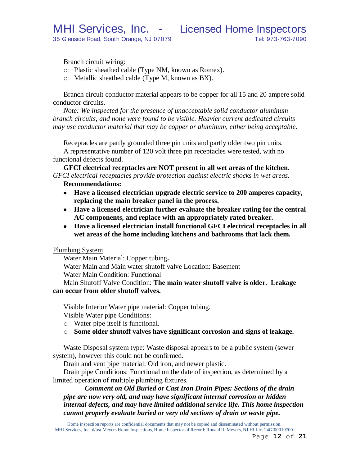Branch circuit wiring:

- o Plastic sheathed cable (Type NM, known as Romex).
- o Metallic sheathed cable (Type M, known as BX).

Branch circuit conductor material appears to be copper for all 15 and 20 ampere solid conductor circuits.

*Note: We inspected for the presence of unacceptable solid conductor aluminum branch circuits, and none were found to be visible. Heavier current dedicated circuits may use conductor material that may be copper or aluminum, either being acceptable.*

Receptacles are partly grounded three pin units and partly older two pin units. A representative number of 120 volt three pin receptacles were tested, with no functional defects found.

**GFCI electrical receptacles are NOT present in all wet areas of the kitchen.** *GFCI electrical receptacles provide protection against electric shocks in wet areas.*

#### **Recommendations:**

- **Have a licensed electrician upgrade electric service to 200 amperes capacity, replacing the main breaker panel in the process.**
- **Have a licensed electrician further evaluate the breaker rating for the central AC components, and replace with an appropriately rated breaker.**
- **Have a licensed electrician install functional GFCI electrical receptacles in all wet areas of the home including kitchens and bathrooms that lack them.**

#### Plumbing System

Water Main Material: Copper tubing**.**

Water Main and Main water shutoff valve Location: Basement

Water Main Condition: Functional

Main Shutoff Valve Condition: **The main water shutoff valve is older. Leakage can occur from older shutoff valves.**

Visible Interior Water pipe material: Copper tubing.

Visible Water pipe Conditions:

- o Water pipe itself is functional.
- o **Some older shutoff valves have significant corrosion and signs of leakage.**

Waste Disposal system type: Waste disposal appears to be a public system (sewer system), however this could not be confirmed.

Drain and vent pipe material: Old iron, and newer plastic.

Drain pipe Conditions: Functional on the date of inspection, as determined by a limited operation of multiple plumbing fixtures.

*Comment on Old Buried or Cast Iron Drain Pipes: Sections of the drain pipe are now very old, and may have significant internal corrosion or hidden internal defects, and may have limited additional service life. This home inspection cannot properly evaluate buried or very old sections of drain or waste pipe.*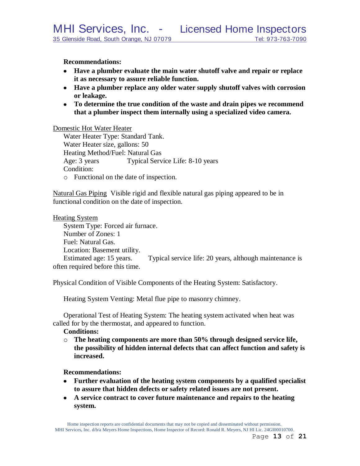**Recommendations:**

- **Have a plumber evaluate the main water shutoff valve and repair or replace it as necessary to assure reliable function.**
- **Have a plumber replace any older water supply shutoff valves with corrosion or leakage.**
- **To determine the true condition of the waste and drain pipes we recommend that a plumber inspect them internally using a specialized video camera.**

Domestic Hot Water Heater

Water Heater Type: Standard Tank. Water Heater size, gallons: 50 Heating Method/Fuel: Natural Gas Age: 3 years Typical Service Life: 8-10 years Condition: o Functional on the date of inspection.

Natural Gas Piping Visible rigid and flexible natural gas piping appeared to be in functional condition on the date of inspection.

Heating System System Type: Forced air furnace. Number of Zones: 1 Fuel: Natural Gas. Location: Basement utility. Estimated age: 15 years. Typical service life: 20 years, although maintenance is often required before this time.

Physical Condition of Visible Components of the Heating System: Satisfactory.

Heating System Venting: Metal flue pipe to masonry chimney.

Operational Test of Heating System: The heating system activated when heat was called for by the thermostat, and appeared to function.

**Conditions:**

o **The heating components are more than 50% through designed service life, the possibility of hidden internal defects that can affect function and safety is increased.**

# **Recommendations:**

- **Further evaluation of the heating system components by a qualified specialist to assure that hidden defects or safety related issues are not present.**
- **A service contract to cover future maintenance and repairs to the heating system.**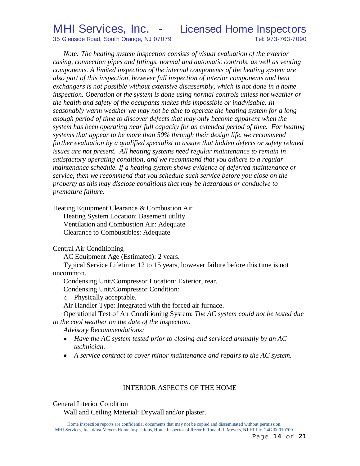*Note: The heating system inspection consists of visual evaluation of the exterior casing, connection pipes and fittings, normal and automatic controls, as well as venting components. A limited inspection of the internal components of the heating system are also part of this inspection, however full inspection of interior components and heat exchangers is not possible without extensive disassembly, which is not done in a home inspection. Operation of the system is done using normal controls unless hot weather or the health and safety of the occupants makes this impossible or inadvisable. In seasonably warm weather we may not be able to operate the heating system for a long*  enough period of time to discover defects that may only become apparent when the *system has been operating near full capacity for an extended period of time. For heating systems that appear to be more than 50% through their design life, we recommend further evaluation by a qualified specialist to assure that hidden defects or safety related issues are not present. All heating systems need regular maintenance to remain in satisfactory operating condition, and we recommend that you adhere to a regular maintenance schedule. If a heating system shows evidence of deferred maintenance or service, then we recommend that you schedule such service before you close on the property as this may disclose conditions that may be hazardous or conducive to premature failure.*

Heating Equipment Clearance & Combustion Air

Heating System Location: Basement utility. Ventilation and Combustion Air: Adequate Clearance to Combustibles: Adequate

Central Air Conditioning

AC Equipment Age (Estimated): 2 years.

Typical Service Lifetime: 12 to 15 years, however failure before this time is not uncommon.

Condensing Unit/Compressor Location: Exterior, rear.

Condensing Unit/Compressor Condition:

o Physically acceptable.

Air Handler Type: Integrated with the forced air furnace.

Operational Test of Air Conditioning System: *The AC system could not be tested due to the cool weather on the date of the inspection.*

*Advisory Recommendations:* 

- *Have the AC system tested prior to closing and serviced annually by an AC technician.*
- *A service contract to cover minor maintenance and repairs to the AC system.*

# INTERIOR ASPECTS OF THE HOME

# General Interior Condition

Wall and Ceiling Material: Drywall and/or plaster.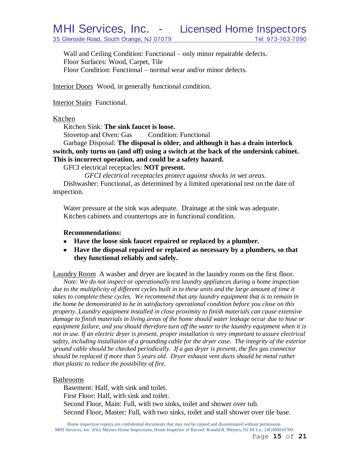Wall and Ceiling Condition: Functional – only minor repairable defects. Floor Surfaces: Wood, Carpet, Tile Floor Condition: Functional – normal wear and/or minor defects.

Interior Doors Wood, in generally functional condition.

Interior Stairs Functional.

#### Kitchen

Kitchen Sink: **The sink faucet is loose.**

Stovetop and Oven: Gas Condition: Functional

Garbage Disposal: **The disposal is older, and although it has a drain interlock switch, only turns on (and off) using a switch at the back of the undersink cabinet. This is incorrect operation, and could be a safety hazard.**

GFCI electrical receptacles: **NOT present.**

*GFCI electrical receptacles protect against shocks in wet areas.* Dishwasher: Functional, as determined by a limited operational test on the date of inspection.

Water pressure at the sink was adequate. Drainage at the sink was adequate. Kitchen cabinets and countertops are in functional condition.

#### **Recommendations:**

- **Have the loose sink faucet repaired or replaced by a plumber.**
- **Have the disposal repaired or replaced as necessary by a plumbers, so that they functional reliably and safely.**

Laundry Room A washer and dryer are located in the laundry room on the first floor.

*Note: We do not inspect or operationally test laundry appliances during a home inspection*  due to the multiplicity of different cycles built in to these units and the large amount of time it *takes to complete these cycles. We recommend that any laundry equipment that is to remain in the home be demonstrated to be in satisfactory operational condition before you close on this property. Laundry equipment installed in close proximity to finish materials can cause extensive damage to finish materials in living areas of the home should water leakage occur due to hose or equipment failure, and you should therefore turn off the water to the laundry equipment when it is not in use. If an electric dryer is present, proper installation is very important to assure electrical safety, including installation of a grounding cable for the dryer case. The integrity of the exterior ground cable should be checked periodically. If a gas dryer is present, the flex gas connector should be replaced if more than 5 years old. Dryer exhaust vent ducts should be metal rather than plastic to reduce the possibility of fire.*

#### Bathrooms

Basement: Half, with sink and toilet. First Floor: Half, with sink and toilet. Second Floor, Main: Full, with two sinks, toilet and shower over tub. Second Floor, Master: Full, with two sinks, toilet and stall shower over tile base.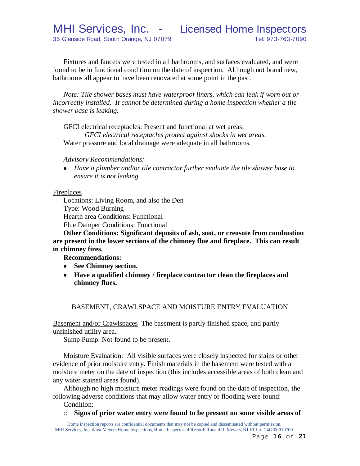Fixtures and faucets were tested in all bathrooms, and surfaces evaluated, and were found to be in functional condition on the date of inspection. Although not brand new, bathrooms all appear to have been renovated at some point in the past.

*Note: Tile shower bases must have waterproof liners, which can leak if worn out or incorrectly installed. It cannot be determined during a home inspection whether a tile shower base is leaking.*

GFCI electrical receptacles: Present and functional at wet areas.

*GFCI electrical receptacles protect against shocks in wet areas.* Water pressure and local drainage were adequate in all bathrooms.

*Advisory Recommendations:*

*Have a plumber and/or tile contractor further evaluate the tile shower base to ensure it is not leaking.*

# Fireplaces

Locations: Living Room, and also the Den Type: Wood Burning Hearth area Conditions: Functional Flue Damper Conditions: Functional

**Other Conditions: Significant deposits of ash, soot, or creosote from combustion are present in the lower sections of the chimney flue and fireplace. This can result in chimney fires.**

**Recommendations:**

- **See Chimney section.**
- **Have a qualified chimney / fireplace contractor clean the fireplaces and chimney flues.**

# BASEMENT, CRAWLSPACE AND MOISTURE ENTRY EVALUATION

Basement and/or Crawlspaces The basement is partly finished space, and partly unfinished utility area.

Sump Pump: Not found to be present.

Moisture Evaluation: All visible surfaces were closely inspected for stains or other evidence of prior moisture entry. Finish materials in the basement were tested with a moisture meter on the date of inspection (this includes accessible areas of both clean and any water stained areas found).

Although no high moisture meter readings were found on the date of inspection, the following adverse conditions that may allow water entry or flooding were found:

- Condition:
- o **Signs of prior water entry were found to be present on some visible areas of**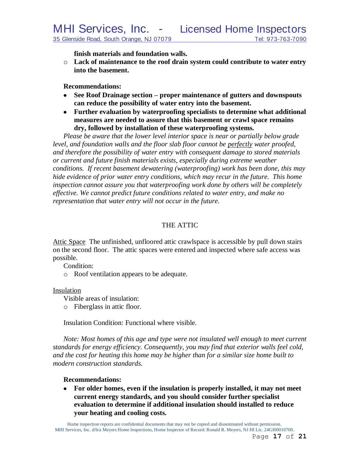**finish materials and foundation walls.**

o **Lack of maintenance to the roof drain system could contribute to water entry into the basement.**

**Recommendations:**

- **See Roof Drainage section – proper maintenance of gutters and downspouts can reduce the possibility of water entry into the basement.**
- **Further evaluation by waterproofing specialists to determine what additional measures are needed to assure that this basement or crawl space remains dry, followed by installation of these waterproofing systems.**

*Please be aware that the lower level interior space is near or partially below grade level, and foundation walls and the floor slab floor cannot be perfectly water proofed, and therefore the possibility of water entry with consequent damage to stored materials or current and future finish materials exists, especially during extreme weather conditions. If recent basement dewatering (waterproofing) work has been done, this may hide evidence of prior water entry conditions, which may recur in the future. This home inspection cannot assure you that waterproofing work done by others will be completely effective. We cannot predict future conditions related to water entry, and make no representation that water entry will not occur in the future.*

# THE ATTIC

Attic Space The unfinished, unfloored attic crawlspace is accessible by pull down stairs on the second floor. The attic spaces were entered and inspected where safe access was possible.

Condition:

o Roof ventilation appears to be adequate.

# Insulation

Visible areas of insulation:

o Fiberglass in attic floor.

Insulation Condition: Functional where visible.

*Note: Most homes of this age and type were not insulated well enough to meet current standards for energy efficiency. Consequently, you may find that exterior walls feel cold, and the cost for heating this home may be higher than for a similar size home built to modern construction standards.*

# **Recommendations:**

**For older homes, even if the insulation is properly installed, it may not meet**   $\bullet$ **current energy standards, and you should consider further specialist evaluation to determine if additional insulation should installed to reduce your heating and cooling costs.**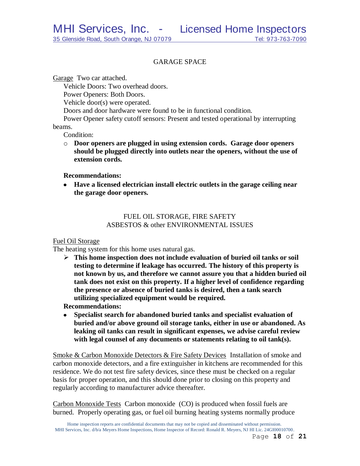# GARAGE SPACE

Garage Two car attached.

Vehicle Doors: Two overhead doors.

Power Openers: Both Doors.

Vehicle door(s) were operated.

Doors and door hardware were found to be in functional condition.

Power Opener safety cutoff sensors: Present and tested operational by interrupting beams.

Condition:

o **Door openers are plugged in using extension cords. Garage door openers should be plugged directly into outlets near the openers, without the use of extension cords.**

#### **Recommendations:**

**Have a licensed electrician install electric outlets in the garage ceiling near the garage door openers.**

# FUEL OIL STORAGE, FIRE SAFETY ASBESTOS & other ENVIRONMENTAL ISSUES

#### Fuel Oil Storage

The heating system for this home uses natural gas.

 **This home inspection does not include evaluation of buried oil tanks or soil testing to determine if leakage has occurred. The history of this property is not known by us, and therefore we cannot assure you that a hidden buried oil tank does not exist on this property. If a higher level of confidence regarding the presence or absence of buried tanks is desired, then a tank search utilizing specialized equipment would be required.**

**Recommendations:**

 $\bullet$ **Specialist search for abandoned buried tanks and specialist evaluation of buried and/or above ground oil storage tanks, either in use or abandoned. As leaking oil tanks can result in significant expenses, we advise careful review with legal counsel of any documents or statements relating to oil tank(s).** 

Smoke & Carbon Monoxide Detectors & Fire Safety Devices Installation of smoke and carbon monoxide detectors, and a fire extinguisher in kitchens are recommended for this residence. We do not test fire safety devices, since these must be checked on a regular basis for proper operation, and this should done prior to closing on this property and regularly according to manufacturer advice thereafter.

Carbon Monoxide Tests Carbon monoxide (CO) is produced when fossil fuels are burned. Properly operating gas, or fuel oil burning heating systems normally produce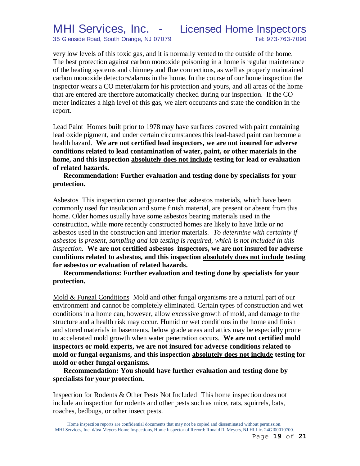very low levels of this toxic gas, and it is normally vented to the outside of the home. The best protection against carbon monoxide poisoning in a home is regular maintenance of the heating systems and chimney and flue connections, as well as properly maintained carbon monoxide detectors/alarms in the home. In the course of our home inspection the inspector wears a CO meter/alarm for his protection and yours, and all areas of the home that are entered are therefore automatically checked during our inspection. If the CO meter indicates a high level of this gas, we alert occupants and state the condition in the report.

Lead Paint Homes built prior to 1978 may have surfaces covered with paint containing lead oxide pigment, and under certain circumstances this lead-based paint can become a health hazard. **We are not certified lead inspectors, we are not insured for adverse conditions related to lead contamination of water, paint, or other materials in the home, and this inspection absolutely does not include testing for lead or evaluation of related hazards.** 

**Recommendation: Further evaluation and testing done by specialists for your protection.**

Asbestos This inspection cannot guarantee that asbestos materials, which have been commonly used for insulation and some finish material, are present or absent from this home. Older homes usually have some asbestos bearing materials used in the construction, while more recently constructed homes are likely to have little or no asbestos used in the construction and interior materials. *To determine with certainty if asbestos is present, sampling and lab testing is required, which is not included in this inspection.* **We are not certified asbestos inspectors, we are not insured for adverse conditions related to asbestos, and this inspection absolutely does not include testing for asbestos or evaluation of related hazards.**

**Recommendations: Further evaluation and testing done by specialists for your protection.**

Mold & Fungal Conditions Mold and other fungal organisms are a natural part of our environment and cannot be completely eliminated. Certain types of construction and wet conditions in a home can, however, allow excessive growth of mold, and damage to the structure and a health risk may occur. Humid or wet conditions in the home and finish and stored materials in basements, below grade areas and attics may be especially prone to accelerated mold growth when water penetration occurs. **We are not certified mold inspectors or mold experts, we are not insured for adverse conditions related to mold or fungal organisms, and this inspection absolutely does not include testing for mold or other fungal organisms.**

**Recommendation: You should have further evaluation and testing done by specialists for your protection.**

Inspection for Rodents & Other Pests Not Included This home inspection does not include an inspection for rodents and other pests such as mice, rats, squirrels, bats, roaches, bedbugs, or other insect pests.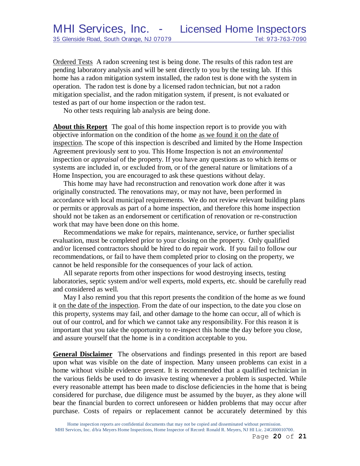Ordered Tests A radon screening test is being done. The results of this radon test are pending laboratory analysis and will be sent directly to you by the testing lab. If this home has a radon mitigation system installed, the radon test is done with the system in operation. The radon test is done by a licensed radon technician, but not a radon mitigation specialist, and the radon mitigation system, if present, is not evaluated or tested as part of our home inspection or the radon test.

No other tests requiring lab analysis are being done.

**About this Report** The goal of this home inspection report is to provide you with objective information on the condition of the home as we found it on the date of inspection. The scope of this inspection is described and limited by the Home Inspection Agreement previously sent to you. This Home Inspection is not an *environmental* inspection or *appraisal* of the property. If you have any questions as to which items or systems are included in, or excluded from, or of the general nature or limitations of a Home Inspection, you are encouraged to ask these questions without delay.

This home may have had reconstruction and renovation work done after it was originally constructed. The renovations may, or may not have, been performed in accordance with local municipal requirements. We do not review relevant building plans or permits or approvals as part of a home inspection, and therefore this home inspection should not be taken as an endorsement or certification of renovation or re-construction work that may have been done on this home.

Recommendations we make for repairs, maintenance, service, or further specialist evaluation, must be completed prior to your closing on the property. Only qualified and/or licensed contractors should be hired to do repair work. If you fail to follow our recommendations, or fail to have them completed prior to closing on the property, we cannot be held responsible for the consequences of your lack of action.

All separate reports from other inspections for wood destroying insects, testing laboratories, septic system and/or well experts, mold experts, etc. should be carefully read and considered as well.

May I also remind you that this report presents the condition of the home as we found it on the date of the inspection. From the date of our inspection, to the date you close on this property, systems may fail, and other damage to the home can occur, all of which is out of our control, and for which we cannot take any responsibility. For this reason it is important that you take the opportunity to re-inspect this home the day before you close, and assure yourself that the home is in a condition acceptable to you.

**General Disclaimer** The observations and findings presented in this report are based upon what was visible on the date of inspection. Many unseen problems can exist in a home without visible evidence present. It is recommended that a qualified technician in the various fields be used to do invasive testing whenever a problem is suspected. While every reasonable attempt has been made to disclose deficiencies in the home that is being considered for purchase, due diligence must be assumed by the buyer, as they alone will bear the financial burden to correct unforeseen or hidden problems that may occur after purchase. Costs of repairs or replacement cannot be accurately determined by this